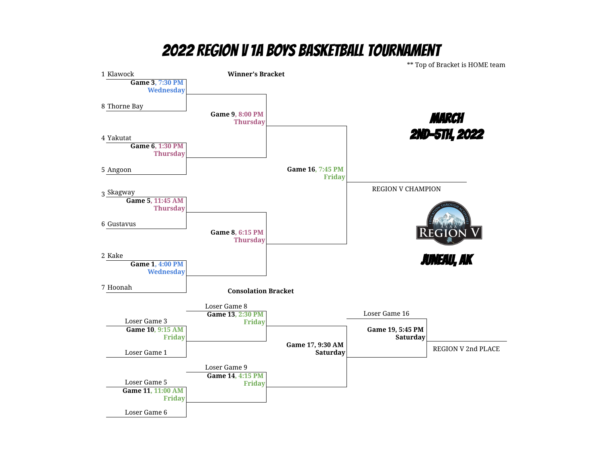## 2022 Region V 1A BOYS Basketball Tournament